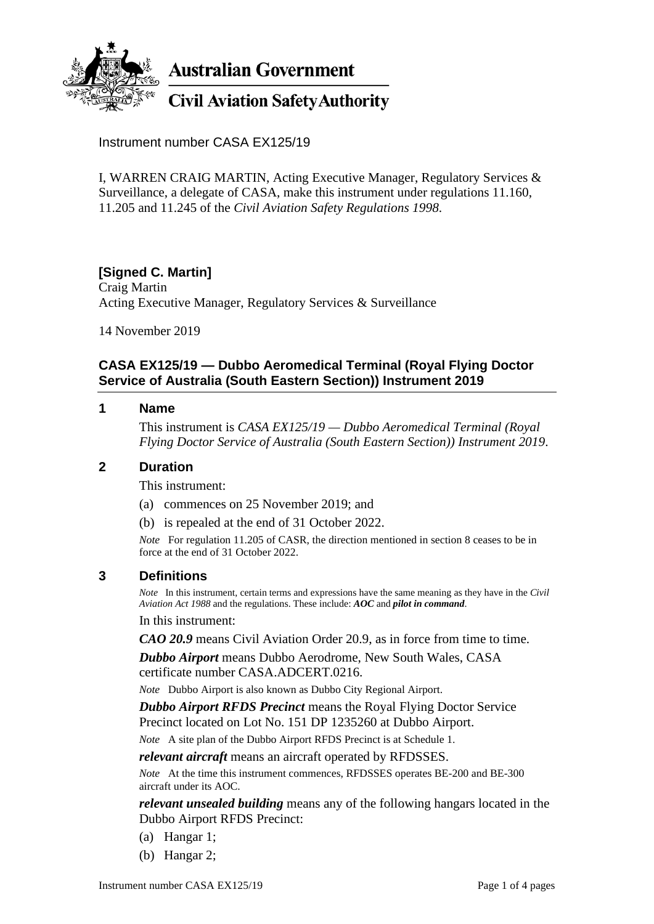

**Australian Government** 

# **Civil Aviation Safety Authority**

Instrument number CASA EX125/19

I, WARREN CRAIG MARTIN, Acting Executive Manager, Regulatory Services & Surveillance, a delegate of CASA, make this instrument under regulations 11.160, 11.205 and 11.245 of the *Civil Aviation Safety Regulations 1998*.

# **[Signed C. Martin]**

Craig Martin Acting Executive Manager, Regulatory Services & Surveillance

14 November 2019

# **CASA EX125/19 — Dubbo Aeromedical Terminal (Royal Flying Doctor Service of Australia (South Eastern Section)) Instrument 2019**

#### **1 Name**

This instrument is *CASA EX125/19 — Dubbo Aeromedical Terminal (Royal Flying Doctor Service of Australia (South Eastern Section)) Instrument 2019*.

## **2 Duration**

This instrument:

- (a) commences on 25 November 2019; and
- (b) is repealed at the end of 31 October 2022.

*Note* For regulation 11.205 of CASR, the direction mentioned in section 8 ceases to be in force at the end of 31 October 2022.

## **3 Definitions**

*Note* In this instrument, certain terms and expressions have the same meaning as they have in the *Civil Aviation Act 1988* and the regulations. These include: *AOC* and *pilot in command*. In this instrument:

*CAO 20.9* means Civil Aviation Order 20.9, as in force from time to time.

*Dubbo Airport* means Dubbo Aerodrome, New South Wales, CASA certificate number CASA.ADCERT.0216.

*Note* Dubbo Airport is also known as Dubbo City Regional Airport.

*Dubbo Airport RFDS Precinct* means the Royal Flying Doctor Service Precinct located on Lot No. 151 DP 1235260 at Dubbo Airport.

*Note* A site plan of the Dubbo Airport RFDS Precinct is at Schedule 1.

*relevant aircraft* means an aircraft operated by RFDSSES.

*Note* At the time this instrument commences, RFDSSES operates BE-200 and BE-300 aircraft under its AOC.

*relevant unsealed building* means any of the following hangars located in the Dubbo Airport RFDS Precinct:

- (a) Hangar 1;
- (b) Hangar 2;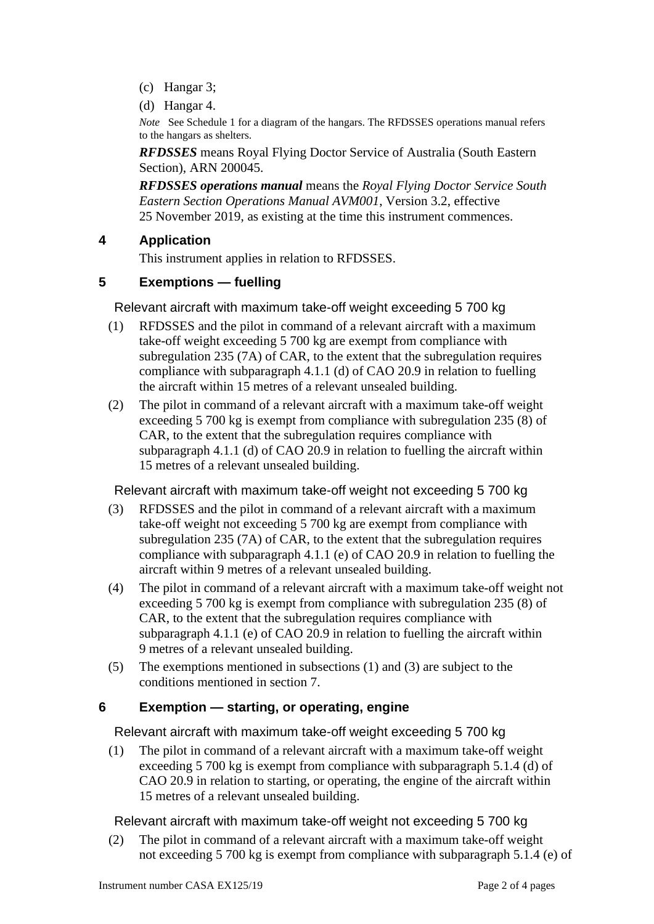- (c) Hangar 3;
- (d) Hangar 4.

*Note* See Schedule 1 for a diagram of the hangars. The RFDSSES operations manual refers to the hangars as shelters.

*RFDSSES* means Royal Flying Doctor Service of Australia (South Eastern Section), ARN 200045.

*RFDSSES operations manual* means the *Royal Flying Doctor Service South Eastern Section Operations Manual AVM001*, Version 3.2, effective 25 November 2019, as existing at the time this instrument commences.

# **4 Application**

This instrument applies in relation to RFDSSES.

# **5 Exemptions — fuelling**

Relevant aircraft with maximum take-off weight exceeding 5 700 kg

- (1) RFDSSES and the pilot in command of a relevant aircraft with a maximum take-off weight exceeding 5 700 kg are exempt from compliance with subregulation  $235(7A)$  of CAR, to the extent that the subregulation requires compliance with subparagraph 4.1.1 (d) of CAO 20.9 in relation to fuelling the aircraft within 15 metres of a relevant unsealed building.
- (2) The pilot in command of a relevant aircraft with a maximum take-off weight exceeding 5 700 kg is exempt from compliance with subregulation 235 (8) of CAR, to the extent that the subregulation requires compliance with subparagraph 4.1.1 (d) of CAO 20.9 in relation to fuelling the aircraft within 15 metres of a relevant unsealed building.

Relevant aircraft with maximum take-off weight not exceeding 5 700 kg

- (3) RFDSSES and the pilot in command of a relevant aircraft with a maximum take-off weight not exceeding 5 700 kg are exempt from compliance with subregulation 235 (7A) of CAR, to the extent that the subregulation requires compliance with subparagraph 4.1.1 (e) of CAO 20.9 in relation to fuelling the aircraft within 9 metres of a relevant unsealed building.
- (4) The pilot in command of a relevant aircraft with a maximum take-off weight not exceeding 5 700 kg is exempt from compliance with subregulation 235 (8) of CAR, to the extent that the subregulation requires compliance with subparagraph 4.1.1 (e) of CAO 20.9 in relation to fuelling the aircraft within 9 metres of a relevant unsealed building.
- (5) The exemptions mentioned in subsections (1) and (3) are subject to the conditions mentioned in section 7.

# **6 Exemption — starting, or operating, engine**

Relevant aircraft with maximum take-off weight exceeding 5 700 kg

(1) The pilot in command of a relevant aircraft with a maximum take-off weight exceeding 5 700 kg is exempt from compliance with subparagraph 5.1.4 (d) of CAO 20.9 in relation to starting, or operating, the engine of the aircraft within 15 metres of a relevant unsealed building.

Relevant aircraft with maximum take-off weight not exceeding 5 700 kg

(2) The pilot in command of a relevant aircraft with a maximum take-off weight not exceeding 5 700 kg is exempt from compliance with subparagraph 5.1.4 (e) of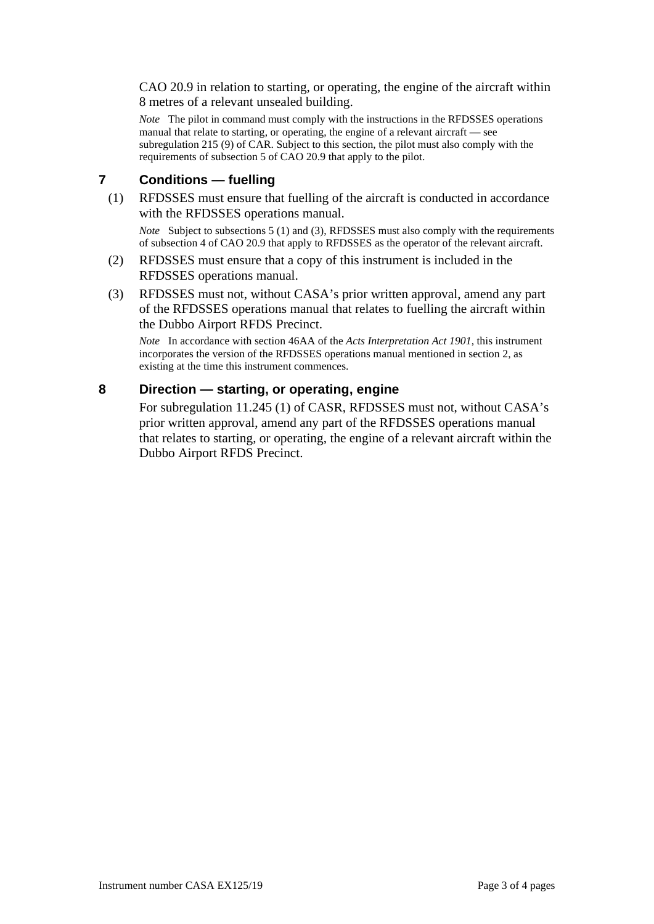CAO 20.9 in relation to starting, or operating, the engine of the aircraft within 8 metres of a relevant unsealed building.

*Note* The pilot in command must comply with the instructions in the RFDSSES operations manual that relate to starting, or operating, the engine of a relevant aircraft — see subregulation 215 (9) of CAR. Subject to this section, the pilot must also comply with the requirements of subsection 5 of CAO 20.9 that apply to the pilot.

#### **7 Conditions — fuelling**

(1) RFDSSES must ensure that fuelling of the aircraft is conducted in accordance with the RFDSSES operations manual.

*Note* Subject to subsections 5 (1) and (3), RFDSSES must also comply with the requirements of subsection 4 of CAO 20.9 that apply to RFDSSES as the operator of the relevant aircraft.

- (2) RFDSSES must ensure that a copy of this instrument is included in the RFDSSES operations manual.
- (3) RFDSSES must not, without CASA's prior written approval, amend any part of the RFDSSES operations manual that relates to fuelling the aircraft within the Dubbo Airport RFDS Precinct.

*Note* In accordance with section 46AA of the *Acts Interpretation Act 1901*, this instrument incorporates the version of the RFDSSES operations manual mentioned in section 2, as existing at the time this instrument commences.

#### **8 Direction — starting, or operating, engine**

For subregulation 11.245 (1) of CASR, RFDSSES must not, without CASA's prior written approval, amend any part of the RFDSSES operations manual that relates to starting, or operating, the engine of a relevant aircraft within the Dubbo Airport RFDS Precinct.